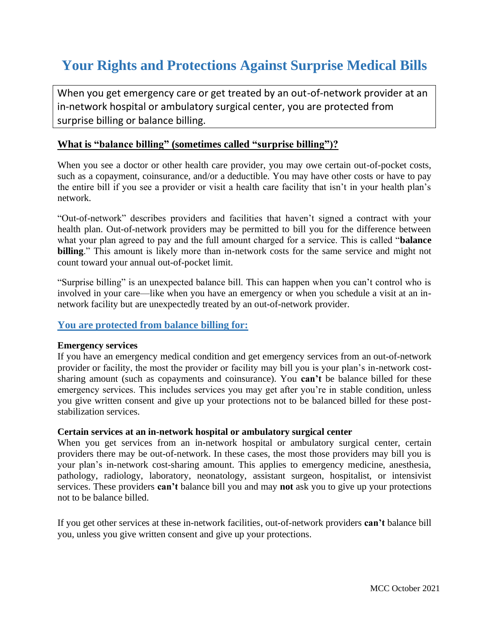# **Your Rights and Protections Against Surprise Medical Bills**

When you get emergency care or get treated by an out-of-network provider at an in-network hospital or ambulatory surgical center, you are protected from surprise billing or balance billing.

## **What is "balance billing" (sometimes called "surprise billing")?**

When you see a doctor or other health care provider, you may owe certain out-of-pocket costs, such as a copayment, coinsurance, and/or a deductible. You may have other costs or have to pay the entire bill if you see a provider or visit a health care facility that isn't in your health plan's network.

"Out-of-network" describes providers and facilities that haven't signed a contract with your health plan. Out-of-network providers may be permitted to bill you for the difference between what your plan agreed to pay and the full amount charged for a service. This is called "**balance billing**." This amount is likely more than in-network costs for the same service and might not count toward your annual out-of-pocket limit.

"Surprise billing" is an unexpected balance bill. This can happen when you can't control who is involved in your care—like when you have an emergency or when you schedule a visit at an innetwork facility but are unexpectedly treated by an out-of-network provider.

## **You are protected from balance billing for:**

### **Emergency services**

If you have an emergency medical condition and get emergency services from an out-of-network provider or facility, the most the provider or facility may bill you is your plan's in-network costsharing amount (such as copayments and coinsurance). You **can't** be balance billed for these emergency services. This includes services you may get after you're in stable condition, unless you give written consent and give up your protections not to be balanced billed for these poststabilization services.

### **Certain services at an in-network hospital or ambulatory surgical center**

When you get services from an in-network hospital or ambulatory surgical center, certain providers there may be out-of-network. In these cases, the most those providers may bill you is your plan's in-network cost-sharing amount. This applies to emergency medicine, anesthesia, pathology, radiology, laboratory, neonatology, assistant surgeon, hospitalist, or intensivist services. These providers **can't** balance bill you and may **not** ask you to give up your protections not to be balance billed.

If you get other services at these in-network facilities, out-of-network providers **can't** balance bill you, unless you give written consent and give up your protections.